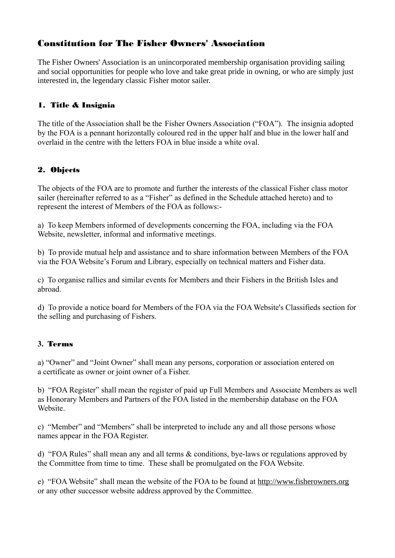# Constitution for The Fisher Owners' Association

The Fisher Owners' Association is an unincorporated membership organisation providing sailing and social opportunities for people who love and take great pride in owning, or who are simply just interested in, the legendary classic Fisher motor sailer.

# 1. Title & Insignia

The title of the Association shall be the Fisher Owners Association ("FOA"). The insignia adopted by the FOA is a pennant horizontally coloured red in the upper half and blue in the lower half and overlaid in the centre with the letters FOA in blue inside a white oval.

## 2. Objects

The objects of the FOA are to promote and further the interests of the classical Fisher class motor sailer (hereinafter referred to as a "Fisher" as defined in the Schedule attached hereto) and to represent the interest of Members of the FOA as follows:-

a) To keep Members informed of developments concerning the FOA, including via the FOA Website, newsletter, informal and informative meetings.

b) To provide mutual help and assistance and to share information between Members of the FOA via the FOA Website's Forum and Library, especially on technical matters and Fisher data.

c) To organise rallies and similar events for Members and their Fishers in the British Isles and abroad.

d) To provide a notice board for Members of the FOA via the FOA Website's Classifieds section for the selling and purchasing of Fishers.

## **3.** Terms

a) "Owner" and "Joint Owner" shall mean any persons, corporation or association entered on a certificate as owner or joint owner of a Fisher.

b) "FOA Register" shall mean the register of paid up Full Members and Associate Members as well as Honorary Members and Partners of the FOA listed in the membership database on the FOA Website.

c) "Member" and "Members" shall be interpreted to include any and all those persons whose names appear in the FOA Register.

d) "FOA Rules" shall mean any and all terms & conditions, bye-laws or regulations approved by the Committee from time to time. These shall be promulgated on the FOA Website.

e) "FOA Website" shall mean the website of the FOA to be found at [http://www.fisherowners.org](http://www.fisherowners.org/) or any other successor website address approved by the Committee.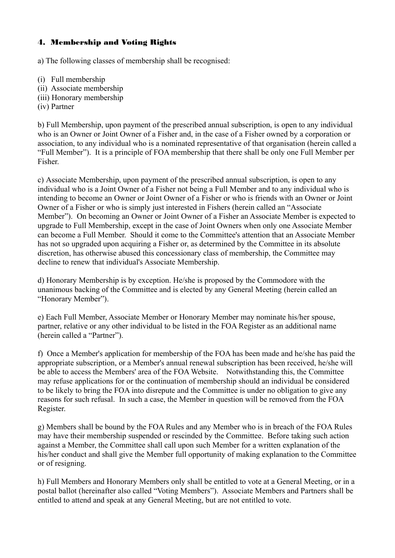### 4. Membership and Voting Rights

a) The following classes of membership shall be recognised:

- (i) Full membership
- (ii) Associate membership
- (iii) Honorary membership
- (iv) Partner

b) Full Membership, upon payment of the prescribed annual subscription, is open to any individual who is an Owner or Joint Owner of a Fisher and, in the case of a Fisher owned by a corporation or association, to any individual who is a nominated representative of that organisation (herein called a "Full Member"). It is a principle of FOA membership that there shall be only one Full Member per Fisher.

c) Associate Membership, upon payment of the prescribed annual subscription, is open to any individual who is a Joint Owner of a Fisher not being a Full Member and to any individual who is intending to become an Owner or Joint Owner of a Fisher or who is friends with an Owner or Joint Owner of a Fisher or who is simply just interested in Fishers (herein called an "Associate Member"). On becoming an Owner or Joint Owner of a Fisher an Associate Member is expected to upgrade to Full Membership, except in the case of Joint Owners when only one Associate Member can become a Full Member. Should it come to the Committee's attention that an Associate Member has not so upgraded upon acquiring a Fisher or, as determined by the Committee in its absolute discretion, has otherwise abused this concessionary class of membership, the Committee may decline to renew that individual's Associate Membership.

d) Honorary Membership is by exception. He/she is proposed by the Commodore with the unanimous backing of the Committee and is elected by any General Meeting (herein called an "Honorary Member").

e) Each Full Member, Associate Member or Honorary Member may nominate his/her spouse, partner, relative or any other individual to be listed in the FOA Register as an additional name (herein called a "Partner").

f) Once a Member's application for membership of the FOA has been made and he/she has paid the appropriate subscription, or a Member's annual renewal subscription has been received, he/she will be able to access the Members' area of the FOA Website. Notwithstanding this, the Committee may refuse applications for or the continuation of membership should an individual be considered to be likely to bring the FOA into disrepute and the Committee is under no obligation to give any reasons for such refusal. In such a case, the Member in question will be removed from the FOA Register.

g) Members shall be bound by the FOA Rules and any Member who is in breach of the FOA Rules may have their membership suspended or rescinded by the Committee. Before taking such action against a Member, the Committee shall call upon such Member for a written explanation of the his/her conduct and shall give the Member full opportunity of making explanation to the Committee or of resigning.

h) Full Members and Honorary Members only shall be entitled to vote at a General Meeting, or in a postal ballot (hereinafter also called "Voting Members"). Associate Members and Partners shall be entitled to attend and speak at any General Meeting, but are not entitled to vote.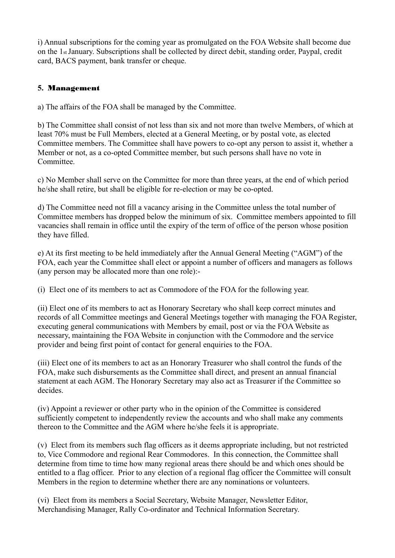i) Annual subscriptions for the coming year as promulgated on the FOA Website shall become due on the 1st January. Subscriptions shall be collected by direct debit, standing order, Paypal, credit card, BACS payment, bank transfer or cheque.

### **5.** Management

a) The affairs of the FOA shall be managed by the Committee.

b) The Committee shall consist of not less than six and not more than twelve Members, of which at least 70% must be Full Members, elected at a General Meeting, or by postal vote, as elected Committee members. The Committee shall have powers to co-opt any person to assist it, whether a Member or not, as a co-opted Committee member, but such persons shall have no vote in Committee.

c) No Member shall serve on the Committee for more than three years, at the end of which period he/she shall retire, but shall be eligible for re-election or may be co-opted.

d) The Committee need not fill a vacancy arising in the Committee unless the total number of Committee members has dropped below the minimum of six. Committee members appointed to fill vacancies shall remain in office until the expiry of the term of office of the person whose position they have filled.

e) At its first meeting to be held immediately after the Annual General Meeting ("AGM") of the FOA, each year the Committee shall elect or appoint a number of officers and managers as follows (any person may be allocated more than one role):-

(i) Elect one of its members to act as Commodore of the FOA for the following year.

(ii) Elect one of its members to act as Honorary Secretary who shall keep correct minutes and records of all Committee meetings and General Meetings together with managing the FOA Register, executing general communications with Members by email, post or via the FOA Website as necessary, maintaining the FOA Website in conjunction with the Commodore and the service provider and being first point of contact for general enquiries to the FOA.

(iii) Elect one of its members to act as an Honorary Treasurer who shall control the funds of the FOA, make such disbursements as the Committee shall direct, and present an annual financial statement at each AGM. The Honorary Secretary may also act as Treasurer if the Committee so decides.

(iv) Appoint a reviewer or other party who in the opinion of the Committee is considered sufficiently competent to independently review the accounts and who shall make any comments thereon to the Committee and the AGM where he/she feels it is appropriate.

(v) Elect from its members such flag officers as it deems appropriate including, but not restricted to, Vice Commodore and regional Rear Commodores. In this connection, the Committee shall determine from time to time how many regional areas there should be and which ones should be entitled to a flag officer. Prior to any election of a regional flag officer the Committee will consult Members in the region to determine whether there are any nominations or volunteers.

(vi) Elect from its members a Social Secretary, Website Manager, Newsletter Editor, Merchandising Manager, Rally Co-ordinator and Technical Information Secretary.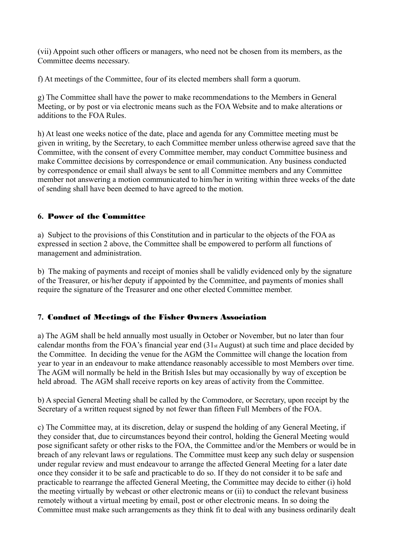(vii) Appoint such other officers or managers, who need not be chosen from its members, as the Committee deems necessary.

f) At meetings of the Committee, four of its elected members shall form a quorum.

g) The Committee shall have the power to make recommendations to the Members in General Meeting, or by post or via electronic means such as the FOA Website and to make alterations or additions to the FOA Rules.

h) At least one weeks notice of the date, place and agenda for any Committee meeting must be given in writing, by the Secretary, to each Committee member unless otherwise agreed save that the Committee, with the consent of every Committee member, may conduct Committee business and make Committee decisions by correspondence or email communication. Any business conducted by correspondence or email shall always be sent to all Committee members and any Committee member not answering a motion communicated to him/her in writing within three weeks of the date of sending shall have been deemed to have agreed to the motion.

#### **6.** Power of the Committee

a) Subject to the provisions of this Constitution and in particular to the objects of the FOA as expressed in section 2 above, the Committee shall be empowered to perform all functions of management and administration.

b) The making of payments and receipt of monies shall be validly evidenced only by the signature of the Treasurer, or his/her deputy if appointed by the Committee, and payments of monies shall require the signature of the Treasurer and one other elected Committee member.

#### **7.** Conduct of Meetings of the Fisher Owners Association

a) The AGM shall be held annually most usually in October or November, but no later than four calendar months from the FOA's financial year end (31st August) at such time and place decided by the Committee. In deciding the venue for the AGM the Committee will change the location from year to year in an endeavour to make attendance reasonably accessible to most Members over time. The AGM will normally be held in the British Isles but may occasionally by way of exception be held abroad. The AGM shall receive reports on key areas of activity from the Committee.

b) A special General Meeting shall be called by the Commodore, or Secretary, upon receipt by the Secretary of a written request signed by not fewer than fifteen Full Members of the FOA.

c) The Committee may, at its discretion, delay or suspend the holding of any General Meeting, if they consider that, due to circumstances beyond their control, holding the General Meeting would pose significant safety or other risks to the FOA, the Committee and/or the Members or would be in breach of any relevant laws or regulations. The Committee must keep any such delay or suspension under regular review and must endeavour to arrange the affected General Meeting for a later date once they consider it to be safe and practicable to do so. If they do not consider it to be safe and practicable to rearrange the affected General Meeting, the Committee may decide to either (i) hold the meeting virtually by webcast or other electronic means or (ii) to conduct the relevant business remotely without a virtual meeting by email, post or other electronic means. In so doing the Committee must make such arrangements as they think fit to deal with any business ordinarily dealt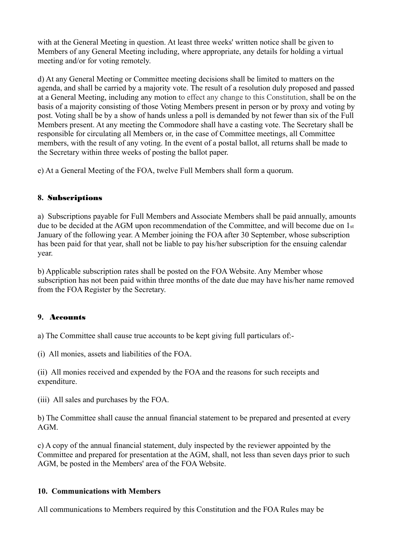with at the General Meeting in question. At least three weeks' written notice shall be given to Members of any General Meeting including, where appropriate, any details for holding a virtual meeting and/or for voting remotely.

d) At any General Meeting or Committee meeting decisions shall be limited to matters on the agenda, and shall be carried by a majority vote. The result of a resolution duly proposed and passed at a General Meeting, including any motion to effect any change to this Constitution, shall be on the basis of a majority consisting of those Voting Members present in person or by proxy and voting by post. Voting shall be by a show of hands unless a poll is demanded by not fewer than six of the Full Members present. At any meeting the Commodore shall have a casting vote. The Secretary shall be responsible for circulating all Members or, in the case of Committee meetings, all Committee members, with the result of any voting. In the event of a postal ballot, all returns shall be made to the Secretary within three weeks of posting the ballot paper.

e) At a General Meeting of the FOA, twelve Full Members shall form a quorum.

#### **8.** Subscriptions

a) Subscriptions payable for Full Members and Associate Members shall be paid annually, amounts due to be decided at the AGM upon recommendation of the Committee, and will become due on 1st January of the following year. A Member joining the FOA after 30 September, whose subscription has been paid for that year, shall not be liable to pay his/her subscription for the ensuing calendar year.

b) Applicable subscription rates shall be posted on the FOA Website. Any Member whose subscription has not been paid within three months of the date due may have his/her name removed from the FOA Register by the Secretary.

#### **9.** Accounts

a) The Committee shall cause true accounts to be kept giving full particulars of:-

(i) All monies, assets and liabilities of the FOA.

(ii) All monies received and expended by the FOA and the reasons for such receipts and expenditure.

(iii) All sales and purchases by the FOA.

b) The Committee shall cause the annual financial statement to be prepared and presented at every AGM.

c) A copy of the annual financial statement, duly inspected by the reviewer appointed by the Committee and prepared for presentation at the AGM, shall, not less than seven days prior to such AGM, be posted in the Members' area of the FOA Website.

#### **10. Communications with Members**

All communications to Members required by this Constitution and the FOA Rules may be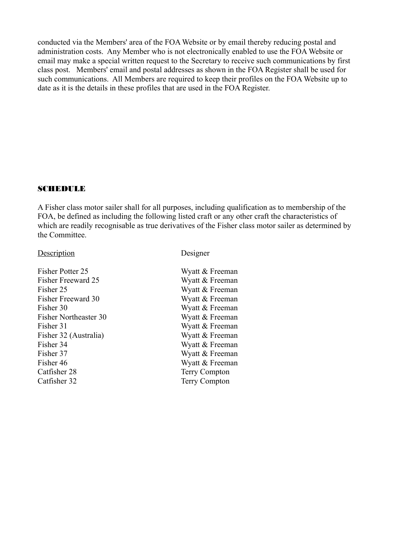conducted via the Members' area of the FOA Website or by email thereby reducing postal and administration costs. Any Member who is not electronically enabled to use the FOA Website or email may make a special written request to the Secretary to receive such communications by first class post. Members' email and postal addresses as shown in the FOA Register shall be used for such communications. All Members are required to keep their profiles on the FOA Website up to date as it is the details in these profiles that are used in the FOA Register.

### SCHEDULE

A Fisher class motor sailer shall for all purposes, including qualification as to membership of the FOA, be defined as including the following listed craft or any other craft the characteristics of which are readily recognisable as true derivatives of the Fisher class motor sailer as determined by the Committee.

#### Description Designer

Fisher Potter 25 Fisher Freeward 25 Fisher 25 Fisher Freeward 30 Fisher 30 Fisher Northeaster 30 Fisher  $31$ Fisher 32 (Australia) Fisher 34 Fisher 37 Fisher  $46$ Catfisher 28 Catfisher 32

| Wyatt & Freeman      |
|----------------------|
| Wyatt & Freeman      |
| Wyatt & Freeman      |
| Wyatt & Freeman      |
| Wyatt & Freeman      |
| Wyatt & Freeman      |
| Wyatt & Freeman      |
| Wyatt & Freeman      |
| Wyatt & Freeman      |
| Wyatt & Freeman      |
| Wyatt & Freeman      |
| <b>Terry Compton</b> |
| <b>Terry Compton</b> |
|                      |